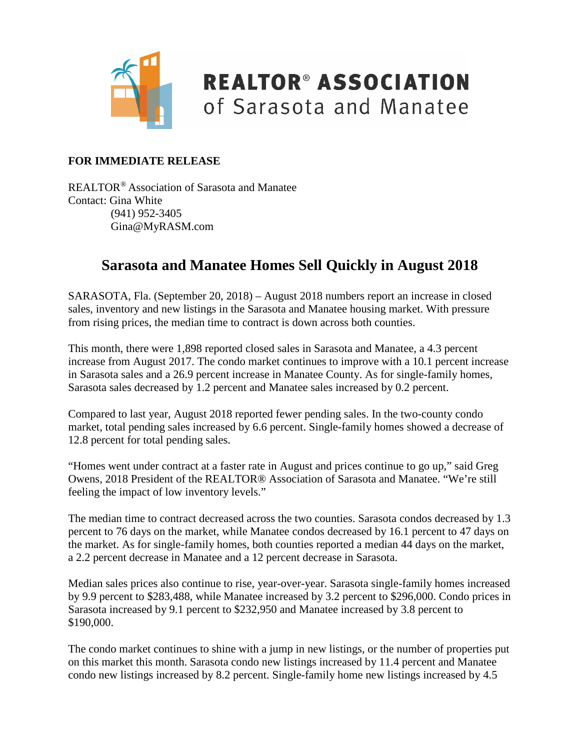

### **REALTOR® ASSOCIATION** of Sarasota and Manatee

#### **FOR IMMEDIATE RELEASE**

REALTOR® Association of Sarasota and Manatee Contact: Gina White (941) 952-3405 Gina@MyRASM.com

#### **Sarasota and Manatee Homes Sell Quickly in August 2018**

SARASOTA, Fla. (September 20, 2018) – August 2018 numbers report an increase in closed sales, inventory and new listings in the Sarasota and Manatee housing market. With pressure from rising prices, the median time to contract is down across both counties.

This month, there were 1,898 reported closed sales in Sarasota and Manatee, a 4.3 percent increase from August 2017. The condo market continues to improve with a 10.1 percent increase in Sarasota sales and a 26.9 percent increase in Manatee County. As for single-family homes, Sarasota sales decreased by 1.2 percent and Manatee sales increased by 0.2 percent.

Compared to last year, August 2018 reported fewer pending sales. In the two-county condo market, total pending sales increased by 6.6 percent. Single-family homes showed a decrease of 12.8 percent for total pending sales.

"Homes went under contract at a faster rate in August and prices continue to go up," said Greg Owens, 2018 President of the REALTOR® Association of Sarasota and Manatee. "We're still feeling the impact of low inventory levels."

The median time to contract decreased across the two counties. Sarasota condos decreased by 1.3 percent to 76 days on the market, while Manatee condos decreased by 16.1 percent to 47 days on the market. As for single-family homes, both counties reported a median 44 days on the market, a 2.2 percent decrease in Manatee and a 12 percent decrease in Sarasota.

Median sales prices also continue to rise, year-over-year. Sarasota single-family homes increased by 9.9 percent to \$283,488, while Manatee increased by 3.2 percent to \$296,000. Condo prices in Sarasota increased by 9.1 percent to \$232,950 and Manatee increased by 3.8 percent to \$190,000.

The condo market continues to shine with a jump in new listings, or the number of properties put on this market this month. Sarasota condo new listings increased by 11.4 percent and Manatee condo new listings increased by 8.2 percent. Single-family home new listings increased by 4.5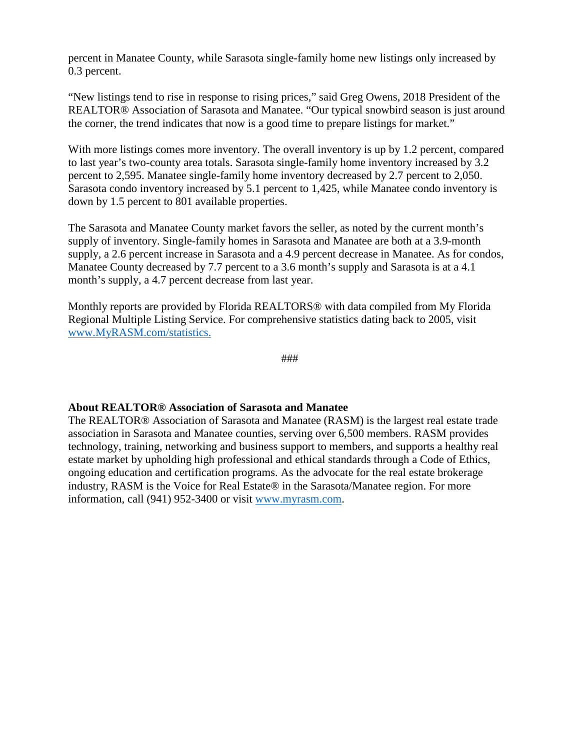percent in Manatee County, while Sarasota single-family home new listings only increased by 0.3 percent.

"New listings tend to rise in response to rising prices," said Greg Owens, 2018 President of the REALTOR® Association of Sarasota and Manatee. "Our typical snowbird season is just around the corner, the trend indicates that now is a good time to prepare listings for market."

With more listings comes more inventory. The overall inventory is up by 1.2 percent, compared to last year's two-county area totals. Sarasota single-family home inventory increased by 3.2 percent to 2,595. Manatee single-family home inventory decreased by 2.7 percent to 2,050. Sarasota condo inventory increased by 5.1 percent to 1,425, while Manatee condo inventory is down by 1.5 percent to 801 available properties.

The Sarasota and Manatee County market favors the seller, as noted by the current month's supply of inventory. Single-family homes in Sarasota and Manatee are both at a 3.9-month supply, a 2.6 percent increase in Sarasota and a 4.9 percent decrease in Manatee. As for condos, Manatee County decreased by 7.7 percent to a 3.6 month's supply and Sarasota is at a 4.1 month's supply, a 4.7 percent decrease from last year.

Monthly reports are provided by Florida REALTORS® with data compiled from My Florida Regional Multiple Listing Service. For comprehensive statistics dating back to 2005, visit [www.MyRASM.com/statistics.](http://www.myrasm.com/statistics)

###

#### **About REALTOR® Association of Sarasota and Manatee**

The REALTOR® Association of Sarasota and Manatee (RASM) is the largest real estate trade association in Sarasota and Manatee counties, serving over 6,500 members. RASM provides technology, training, networking and business support to members, and supports a healthy real estate market by upholding high professional and ethical standards through a Code of Ethics, ongoing education and certification programs. As the advocate for the real estate brokerage industry, RASM is the Voice for Real Estate® in the Sarasota/Manatee region. For more information, call (941) 952-3400 or visit [www.myrasm.com.](http://www.myrasm.com/)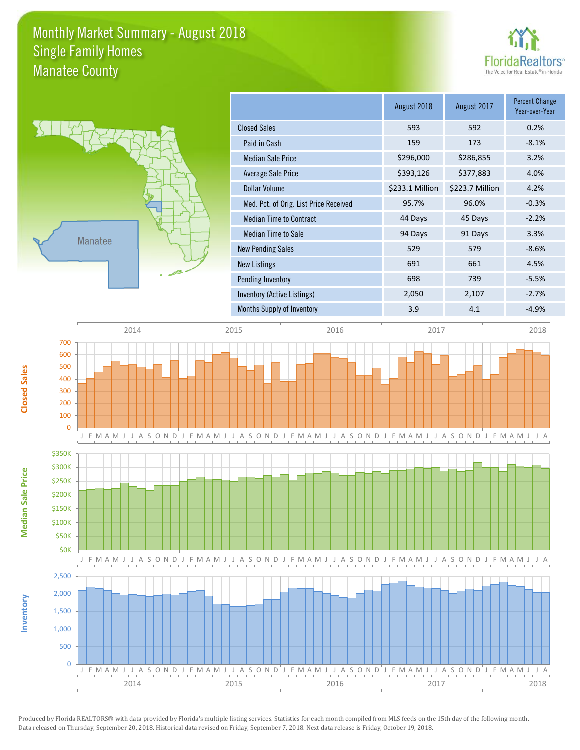### Monthly Market Summary - August 2018 Manatee County Single Family Homes





**Median Sale Price**

**Median Sale Price** 

**Closed Sales**

**Inventory**

|                                        | August 2018     | August 2017     | <b>Percent Change</b><br>Year-over-Year |
|----------------------------------------|-----------------|-----------------|-----------------------------------------|
| <b>Closed Sales</b>                    | 593             | 592             | 0.2%                                    |
| Paid in Cash                           | 159             | 173             | $-8.1%$                                 |
| <b>Median Sale Price</b>               | \$296,000       | \$286,855       | 3.2%                                    |
| Average Sale Price                     | \$393,126       | \$377,883       | 4.0%                                    |
| Dollar Volume                          | \$233.1 Million | \$223.7 Million | 4.2%                                    |
| Med. Pct. of Orig. List Price Received | 95.7%           | 96.0%           | $-0.3%$                                 |
| <b>Median Time to Contract</b>         | 44 Days         | 45 Days         | $-2.2%$                                 |
| Median Time to Sale                    | 94 Days         | 91 Days         | 3.3%                                    |
| <b>New Pending Sales</b>               | 529             | 579             | $-8.6%$                                 |
| <b>New Listings</b>                    | 691             | 661             | 4.5%                                    |
| Pending Inventory                      | 698             | 739             | $-5.5%$                                 |
| Inventory (Active Listings)            | 2,050           | 2,107           | $-2.7%$                                 |
| Months Supply of Inventory             | 3.9             | 4.1             | $-4.9%$                                 |

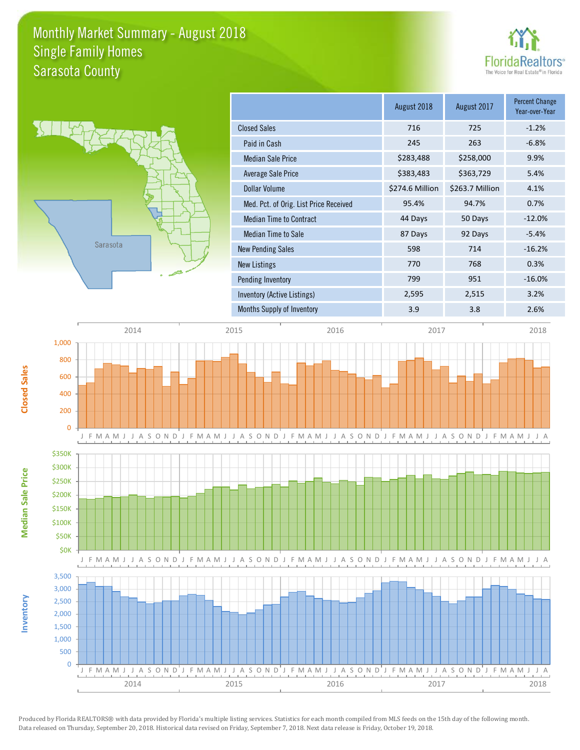### Monthly Market Summary - August 2018 Sarasota County Single Family Homes





**Median Sale Price**

**Median Sale Price** 

**Closed Sales**

**Inventory**

|                                        | August 2018     | August 2017     | <b>Percent Change</b><br>Year-over-Year |
|----------------------------------------|-----------------|-----------------|-----------------------------------------|
| <b>Closed Sales</b>                    | 716             | 725             | $-1.2%$                                 |
| Paid in Cash                           | 245             | 263             | $-6.8%$                                 |
| <b>Median Sale Price</b>               | \$283,488       | \$258,000       | 9.9%                                    |
| Average Sale Price                     | \$383,483       | \$363,729       | 5.4%                                    |
| Dollar Volume                          | \$274.6 Million | \$263.7 Million | 4.1%                                    |
| Med. Pct. of Orig. List Price Received | 95.4%           | 94.7%           | 0.7%                                    |
| <b>Median Time to Contract</b>         | 44 Days         | 50 Days         | $-12.0%$                                |
| Median Time to Sale                    | 87 Days         | 92 Days         | $-5.4%$                                 |
| <b>New Pending Sales</b>               | 598             | 714             | $-16.2%$                                |
| New Listings                           | 770             | 768             | 0.3%                                    |
| Pending Inventory                      | 799             | 951             | $-16.0%$                                |
| Inventory (Active Listings)            | 2,595           | 2,515           | 3.2%                                    |
| Months Supply of Inventory             | 3.9             | 3.8             | 2.6%                                    |

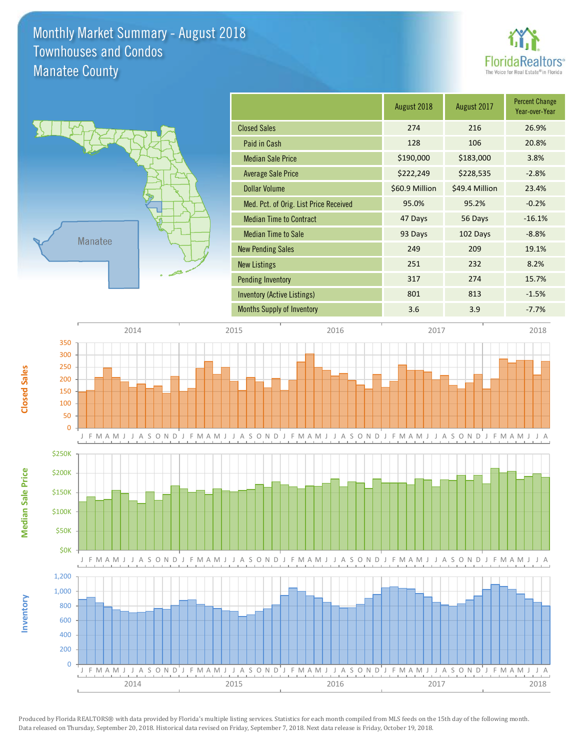### Monthly Market Summary - August 2018 Manatee County Townhouses and Condos





**Median Sale Price**

**Median Sale Price** 

**Closed Sales**

**Inventory**

| August 2018    | August 2017    | <b>Percent Change</b><br>Year-over-Year |
|----------------|----------------|-----------------------------------------|
| 274            | 216            | 26.9%                                   |
| 128            | 106            | 20.8%                                   |
| \$190,000      | \$183,000      | 3.8%                                    |
| \$222,249      | \$228,535      | $-2.8%$                                 |
| \$60.9 Million | \$49.4 Million | 23.4%                                   |
| 95.0%          | 95.2%          | $-0.2%$                                 |
| 47 Days        | 56 Days        | $-16.1%$                                |
| 93 Days        | 102 Days       | $-8.8%$                                 |
| 249            | 209            | 19.1%                                   |
| 251            | 232            | 8.2%                                    |
| 317            | 274            | 15.7%                                   |
| 801            | 813            | $-1.5%$                                 |
| 3.6            | 3.9            | $-7.7%$                                 |
|                |                |                                         |

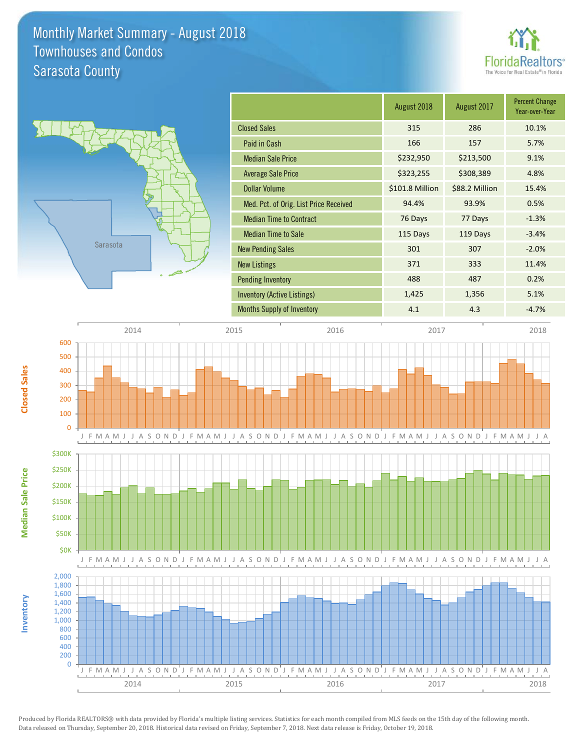### Monthly Market Summary - August 2018 Sarasota County Townhouses and Condos





|                                        | August 2018     | August 2017    | <b>Percent Change</b><br>Year-over-Year |
|----------------------------------------|-----------------|----------------|-----------------------------------------|
| <b>Closed Sales</b>                    | 315             | 286            | 10.1%                                   |
| Paid in Cash                           | 166             | 157            | 5.7%                                    |
| <b>Median Sale Price</b>               | \$232,950       | \$213,500      | 9.1%                                    |
| <b>Average Sale Price</b>              | \$323,255       | \$308,389      | 4.8%                                    |
| <b>Dollar Volume</b>                   | \$101.8 Million | \$88.2 Million | 15.4%                                   |
| Med. Pct. of Orig. List Price Received | 94.4%           | 93.9%          | 0.5%                                    |
| <b>Median Time to Contract</b>         | 76 Days         | 77 Days        | $-1.3%$                                 |
| <b>Median Time to Sale</b>             | 115 Days        | 119 Days       | $-3.4%$                                 |
| <b>New Pending Sales</b>               | 301             | 307            | $-2.0%$                                 |
| <b>New Listings</b>                    | 371             | 333            | 11.4%                                   |
| <b>Pending Inventory</b>               | 488             | 487            | 0.2%                                    |
| Inventory (Active Listings)            | 1,425           | 1,356          | 5.1%                                    |
| <b>Months Supply of Inventory</b>      | 4.1             | 4.3            | $-4.7%$                                 |



Produced by Florida REALTORS® with data provided by Florida's multiple listing services. Statistics for each month compiled from MLS feeds on the 15th day of the following month. Data released on Thursday, September 20, 2018. Historical data revised on Friday, September 7, 2018. Next data release is Friday, October 19, 2018.

2014 2015 2016 2017 2018

**Median Sale Price**

**Median Sale Price** 

**Inventory**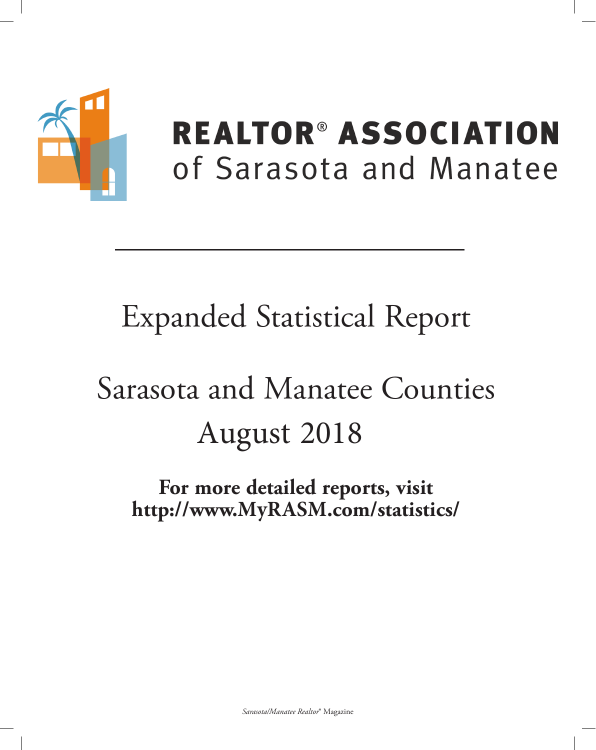

## **REALTOR® ASSOCIATION** of Sarasota and Manatee

## **Expanded Statistical Report**

# Sarasota and Manatee Counties August 2018

For more detailed reports, visit http://www.MyRASM.com/statistics/

Sarasota/Manatee Realtor® Magazine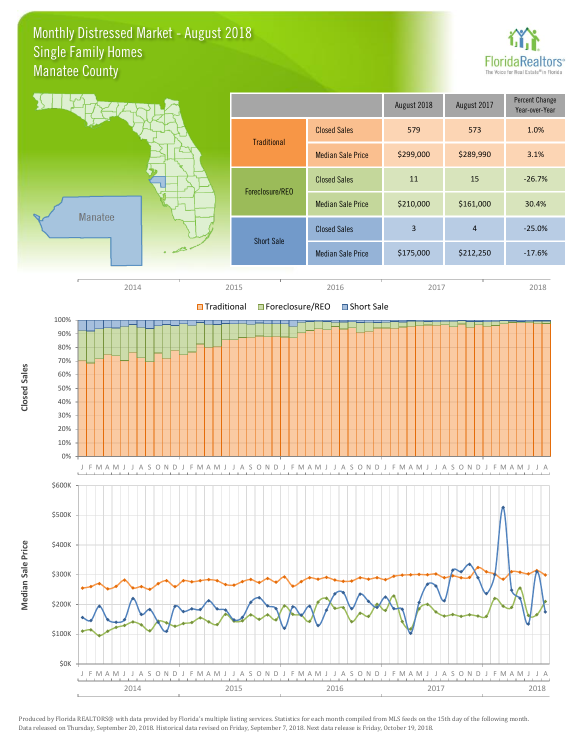### Monthly Distressed Market - August 2018 Manatee County Single Family Homes



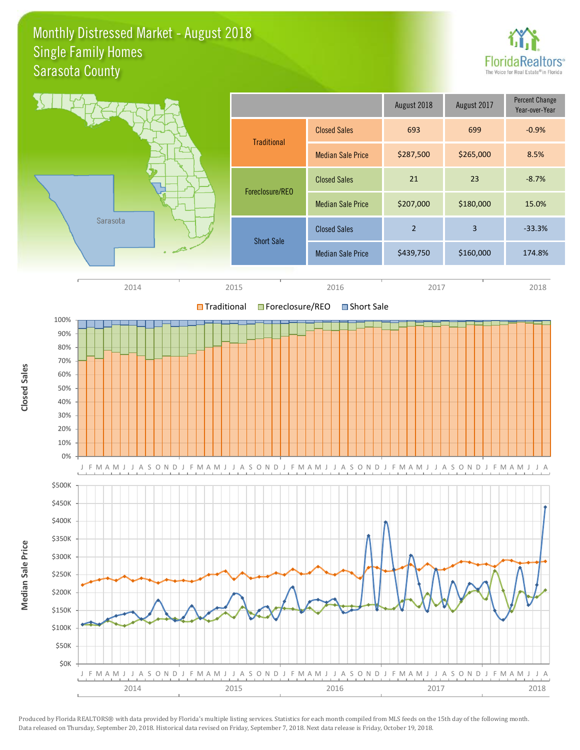### Monthly Distressed Market - August 2018 Sarasota County Single Family Homes



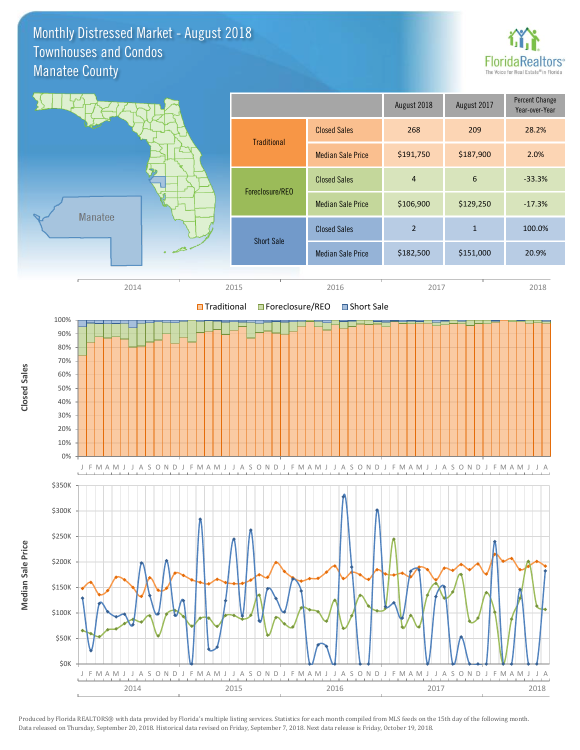### Monthly Distressed Market - August 2018 Manatee County Townhouses and Condos